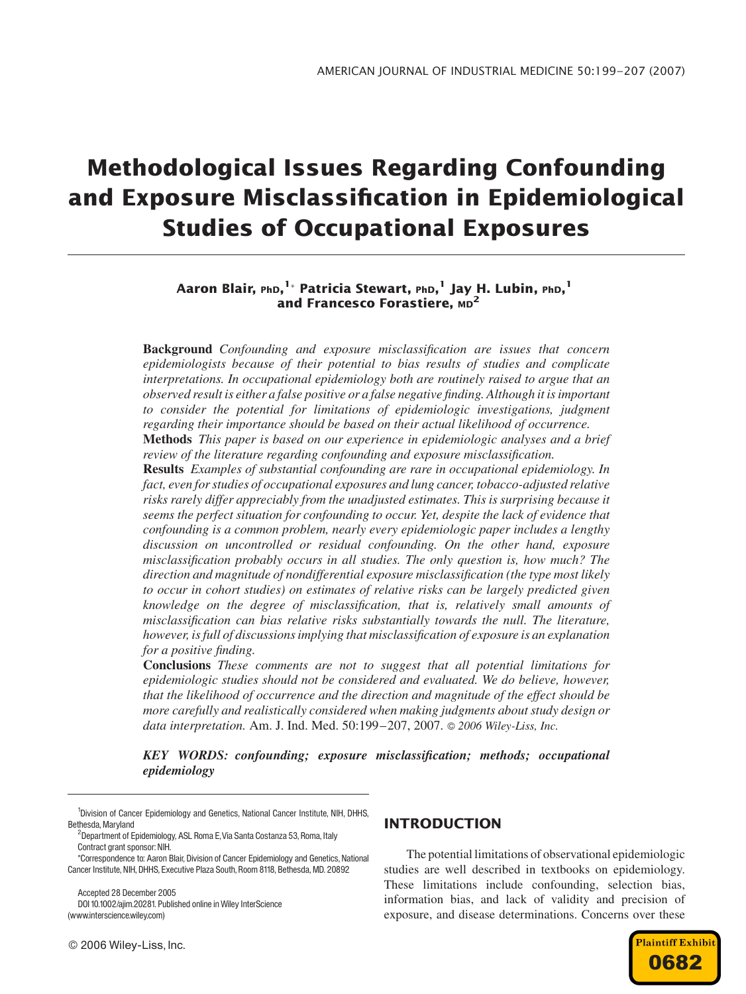# Methodological Issues Regarding Confounding and Exposure Misclassification in Epidemiological Studies of Occupational Exposures

Aaron Blair, <sub>PhD,</sub> <sup>1</sup>\* Patricia Stewart, <sub>PhD,</sub> <sup>1</sup> Jay H. Lubin, <sub>PhD,</sub> <sup>1</sup> and Francesco Forastiere, MD<sup>2</sup>

Background Confounding and exposure misclassification are issues that concern epidemiologists because of their potential to bias results of studies and complicate interpretations. In occupational epidemiology both are routinely raised to argue that an observed result is either a false positive or a false negative finding. Although it is important to consider the potential for limitations of epidemiologic investigations, judgment regarding their importance should be based on their actual likelihood of occurrence.

Methods This paper is based on our experience in epidemiologic analyses and a brief review of the literature regarding confounding and exposure misclassification.

Results Examples of substantial confounding are rare in occupational epidemiology. In fact, even for studies of occupational exposures and lung cancer, tobacco-adjusted relative risks rarely differ appreciably from the unadjusted estimates. This is surprising because it seems the perfect situation for confounding to occur. Yet, despite the lack of evidence that confounding is a common problem, nearly every epidemiologic paper includes a lengthy discussion on uncontrolled or residual confounding. On the other hand, exposure misclassification probably occurs in all studies. The only question is, how much? The direction and magnitude of nondifferential exposure misclassification (the type most likely to occur in cohort studies) on estimates of relative risks can be largely predicted given knowledge on the degree of misclassification, that is, relatively small amounts of misclassification can bias relative risks substantially towards the null. The literature, however, is full of discussions implying that misclassification of exposure is an explanation for a positive finding.

Conclusions These comments are not to suggest that all potential limitations for epidemiologic studies should not be considered and evaluated. We do believe, however, that the likelihood of occurrence and the direction and magnitude of the effect should be more carefully and realistically considered when making judgments about study design or data interpretation. Am. J. Ind. Med. 50:199-207, 2007. © 2006 Wiley-Liss, Inc.

KEY WORDS: confounding; exposure misclassification; methods; occupational epidemiology

Accepted 28 December 2005 DOI 10.1002/ajim.20281. Published online in Wiley InterScience (www.interscience.wiley.com)

## INTRODUCTION

The potential limitations of observational epidemiologic studies are well described in textbooks on epidemiology. These limitations include confounding, selection bias, information bias, and lack of validity and precision of exposure, and disease determinations. Concerns over these



<sup>&</sup>lt;sup>1</sup>Division of Cancer Epidemiology and Genetics, National Cancer Institute, NIH, DHHS, Bethesda, Maryland <sup>2</sup>

<sup>&</sup>lt;sup>2</sup> Department of Epidemiology, ASL Roma E, Via Santa Costanza 53, Roma, Italy Contract grant sponsor: NIH.

<sup>\*</sup>Correspondence to: Aaron Blair, Division of Cancer Epidemiology and Genetics, National Cancer Institute, NIH, DHHS, Executive Plaza South, Room 8118, Bethesda, MD. 20892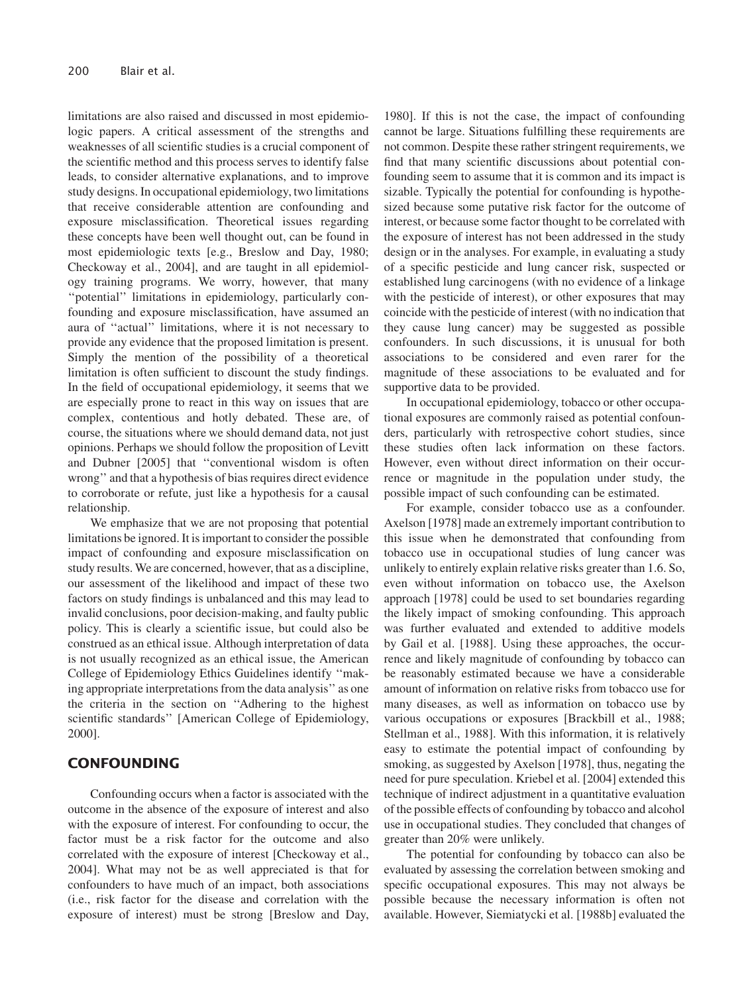limitations are also raised and discussed in most epidemiologic papers. A critical assessment of the strengths and weaknesses of all scientific studies is a crucial component of the scientific method and this process serves to identify false leads, to consider alternative explanations, and to improve study designs. In occupational epidemiology, two limitations that receive considerable attention are confounding and exposure misclassification. Theoretical issues regarding these concepts have been well thought out, can be found in most epidemiologic texts [e.g., Breslow and Day, 1980; Checkoway et al., 2004], and are taught in all epidemiology training programs. We worry, however, that many ''potential'' limitations in epidemiology, particularly confounding and exposure misclassification, have assumed an aura of ''actual'' limitations, where it is not necessary to provide any evidence that the proposed limitation is present. Simply the mention of the possibility of a theoretical limitation is often sufficient to discount the study findings. In the field of occupational epidemiology, it seems that we are especially prone to react in this way on issues that are complex, contentious and hotly debated. These are, of course, the situations where we should demand data, not just opinions. Perhaps we should follow the proposition of Levitt and Dubner [2005] that ''conventional wisdom is often wrong'' and that a hypothesis of bias requires direct evidence to corroborate or refute, just like a hypothesis for a causal relationship.

We emphasize that we are not proposing that potential limitations be ignored. It is important to consider the possible impact of confounding and exposure misclassification on study results. We are concerned, however, that as a discipline, our assessment of the likelihood and impact of these two factors on study findings is unbalanced and this may lead to invalid conclusions, poor decision-making, and faulty public policy. This is clearly a scientific issue, but could also be construed as an ethical issue. Although interpretation of data is not usually recognized as an ethical issue, the American College of Epidemiology Ethics Guidelines identify ''making appropriate interpretations from the data analysis'' as one the criteria in the section on ''Adhering to the highest scientific standards'' [American College of Epidemiology, 2000].

## **CONFOUNDING**

Confounding occurs when a factor is associated with the outcome in the absence of the exposure of interest and also with the exposure of interest. For confounding to occur, the factor must be a risk factor for the outcome and also correlated with the exposure of interest [Checkoway et al., 2004]. What may not be as well appreciated is that for confounders to have much of an impact, both associations (i.e., risk factor for the disease and correlation with the exposure of interest) must be strong [Breslow and Day,

1980]. If this is not the case, the impact of confounding cannot be large. Situations fulfilling these requirements are not common. Despite these rather stringent requirements, we find that many scientific discussions about potential confounding seem to assume that it is common and its impact is sizable. Typically the potential for confounding is hypothesized because some putative risk factor for the outcome of interest, or because some factor thought to be correlated with the exposure of interest has not been addressed in the study design or in the analyses. For example, in evaluating a study of a specific pesticide and lung cancer risk, suspected or established lung [carcinogens](https://www.baumhedlundlaw.com/toxic-tort-law/monsanto-roundup-lawsuit/) (with no evidence of a linkage with the pesticide of interest), or other exposures that may coincide with the pesticide of interest (with no indication that they cause lung cancer) may be suggested as possible confounders. In such discussions, it is unusual for both associations to be considered and even rarer for the magnitude of these associations to be evaluated and for supportive data to be provided.

In occupational epidemiology, tobacco or other occupational exposures are commonly raised as potential confounders, particularly with retrospective cohort studies, since these studies often lack information on these factors. However, even without direct information on their occurrence or magnitude in the population under study, the possible impact of such confounding can be estimated.

For example, consider tobacco use as a confounder. Axelson [1978] made an extremely important contribution to this issue when he demonstrated that confounding from tobacco use in occupational studies of lung cancer was unlikely to entirely explain relative risks greater than 1.6. So, even without information on tobacco use, the Axelson approach [1978] could be used to set boundaries regarding the likely impact of smoking confounding. This approach was further evaluated and extended to additive models by Gail et al. [1988]. Using these approaches, the occurrence and likely magnitude of confounding by tobacco can be reasonably estimated because we have a considerable amount of information on relative risks from tobacco use for many diseases, as well as information on tobacco use by various occupations or exposures [Brackbill et al., 1988; Stellman et al., 1988]. With this information, it is relatively easy to estimate the potential impact of confounding by smoking, as suggested by Axelson [1978], thus, negating the need for pure speculation. Kriebel et al. [2004] extended this technique of indirect adjustment in a quantitative evaluation of the possible effects of confounding by tobacco and alcohol use in occupational studies. They concluded that changes of greater than 20% were unlikely.

The potential for confounding by tobacco can also be evaluated by assessing the correlation between smoking and specific occupational exposures. This may not always be possible because the necessary information is often not available. However, Siemiatycki et al. [1988b] evaluated the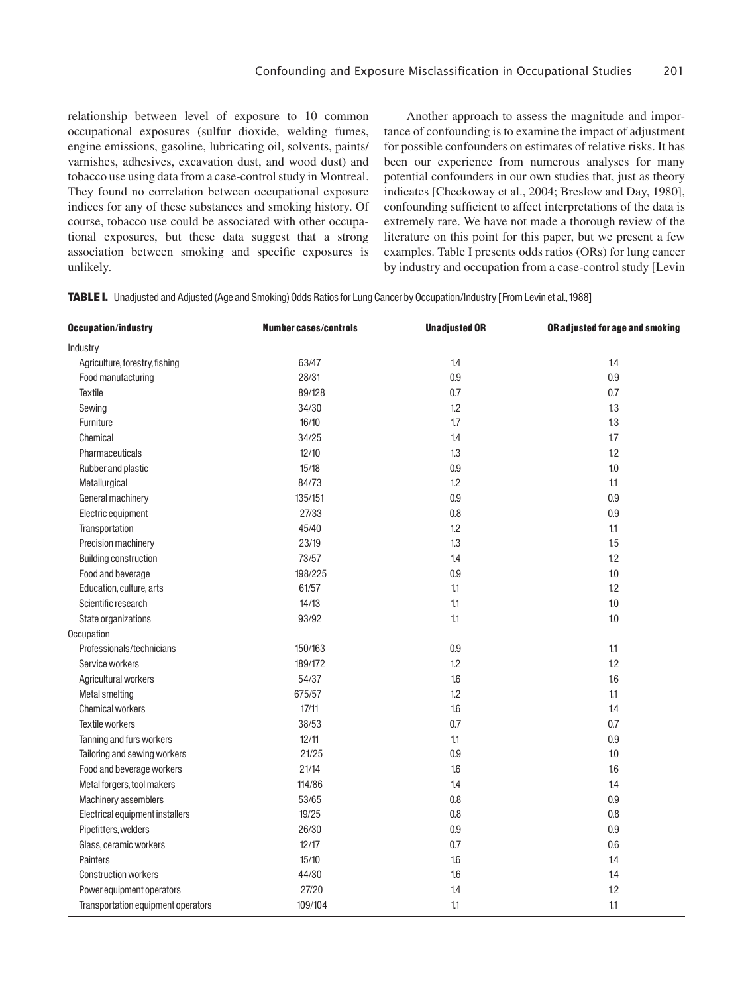relationship between level of exposure to 10 common occupational exposures (sulfur dioxide, welding fumes, engine emissions, gasoline, lubricating oil, solvents, paints/ varnishes, adhesives, excavation dust, and wood dust) and tobacco use using data from a case-control study in Montreal. They found no correlation between occupational exposure indices for any of these substances and smoking history. Of course, tobacco use could be associated with other occupational exposures, but these data suggest that a strong association between smoking and specific exposures is unlikely.

Another approach to assess the magnitude and importance of confounding is to examine the impact of adjustment for possible confounders on estimates of relative risks. It has been our experience from numerous analyses for many potential confounders in our own studies that, just as theory indicates [Checkoway et al., 2004; Breslow and Day, 1980], confounding sufficient to affect interpretations of the data is extremely rare. We have not made a thorough review of the literature on this point for this paper, but we present a few examples. Table I presents odds ratios (ORs) for lung cancer by industry and occupation from a case-control study [Levin

TABLE I. Unadjusted and Adjusted (Age and Smoking) Odds Ratios for Lung Cancer by Occupation/Industry [From Levin et al., 1988]

| <b>Occupation/industry</b>         | <b>Number cases/controls</b> | <b>Unadjusted OR</b> | OR adjusted for age and smoking |
|------------------------------------|------------------------------|----------------------|---------------------------------|
| Industry                           |                              |                      |                                 |
| Agriculture, forestry, fishing     | 63/47                        | 1.4                  | 1.4                             |
| Food manufacturing                 | 28/31                        | 0.9                  | 0.9                             |
| Textile                            | 89/128                       | 0.7                  | 0.7                             |
| Sewing                             | 34/30                        | 1.2                  | 1.3                             |
| Furniture                          | 16/10                        | 1.7                  | 1.3                             |
| Chemical                           | 34/25                        | 1.4                  | 1.7                             |
| Pharmaceuticals                    | 12/10                        | 1.3                  | 1.2                             |
| Rubber and plastic                 | 15/18                        | 0.9                  | 1.0                             |
| Metallurgical                      | 84/73                        | 1.2                  | 1.1                             |
| General machinery                  | 135/151                      | 0.9                  | 0.9                             |
| Electric equipment                 | 27/33                        | 0.8                  | 0.9                             |
| Transportation                     | 45/40                        | 1.2                  | 1.1                             |
| Precision machinery                | 23/19                        | 1.3                  | 1.5                             |
| <b>Building construction</b>       | 73/57                        | 1.4                  | 1.2                             |
| Food and beverage                  | 198/225                      | 0.9                  | 1.0                             |
| Education, culture, arts           | 61/57                        | 1.1                  | 1.2                             |
| Scientific research                | 14/13                        | 1.1                  | $1.0\,$                         |
| State organizations                | 93/92                        | 1.1                  | 1.0                             |
| Occupation                         |                              |                      |                                 |
| Professionals/technicians          | 150/163                      | 0.9                  | 1.1                             |
| Service workers                    | 189/172                      | 1.2                  | 1.2                             |
| Agricultural workers               | 54/37                        | 1.6                  | 1.6                             |
| Metal smelting                     | 675/57                       | 1.2                  | 1.1                             |
| <b>Chemical workers</b>            | 17/11                        | 1.6                  | 1.4                             |
| Textile workers                    | 38/53                        | 0.7                  | 0.7                             |
| Tanning and furs workers           | 12/11                        | 1.1                  | 0.9                             |
| Tailoring and sewing workers       | 21/25                        | 0.9                  | 1.0                             |
| Food and beverage workers          | 21/14                        | 1.6                  | 1.6                             |
| Metal forgers, tool makers         | 114/86                       | 1.4                  | 1.4                             |
| Machinery assemblers               | 53/65                        | 0.8                  | 0.9                             |
| Electrical equipment installers    | 19/25                        | 0.8                  | 0.8                             |
| Pipefitters, welders               | 26/30                        | 0.9                  | 0.9                             |
| Glass, ceramic workers             | 12/17                        | 0.7                  | 0.6                             |
| Painters                           | 15/10                        | 1.6                  | 1.4                             |
| <b>Construction workers</b>        | 44/30                        | 1.6                  | 1.4                             |
| Power equipment operators          | 27/20                        | 1.4                  | 1.2                             |
| Transportation equipment operators | 109/104                      | 1.1                  | 1.1                             |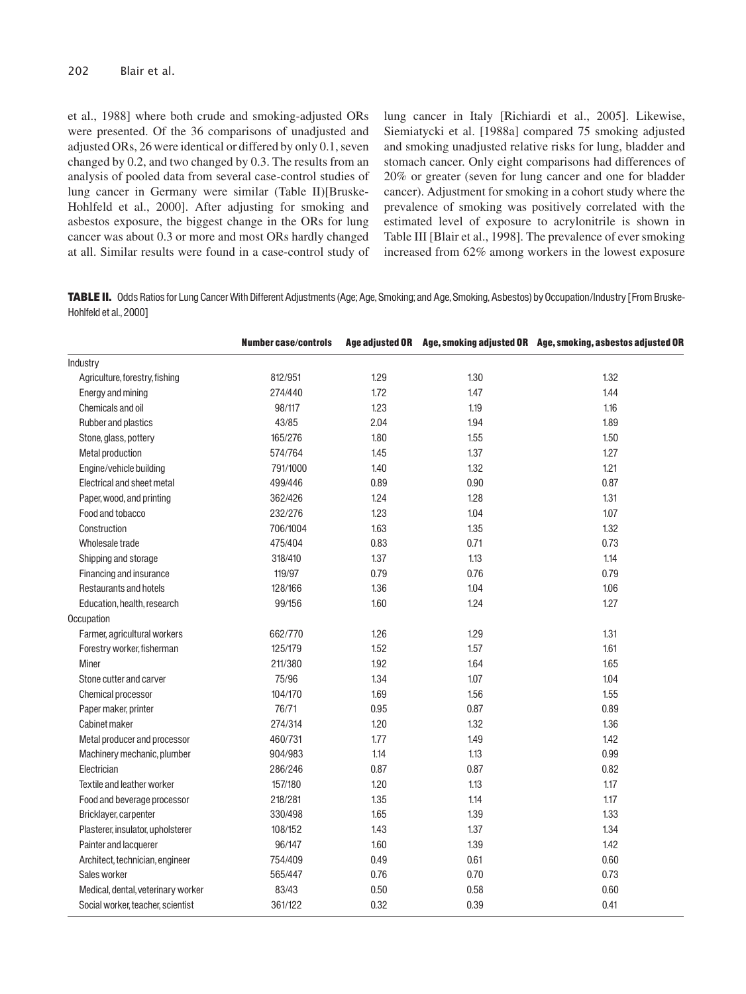et al., 1988] where both crude and smoking-adjusted ORs were presented. Of the 36 comparisons of unadjusted and adjusted ORs, 26 were identical or differed by only 0.1, seven changed by 0.2, and two changed by 0.3. The results from an analysis of pooled data from several case-control studies of lung cancer in Germany were similar (Table II)[Bruske-Hohlfeld et al., 2000]. After adjusting for smoking and asbestos exposure, the biggest change in the ORs for lung cancer was about 0.3 or more and most ORs hardly changed at all. Similar results were found in a case-control study of lung cancer in Italy [Richiardi et al., 2005]. Likewise, Siemiatycki et al. [1988a] compared 75 smoking adjusted and smoking unadjusted relative risks for lung, bladder and stomach cancer. Only eight comparisons had differences of 20% or greater (seven for lung cancer and one for bladder cancer). Adjustment for smoking in a cohort study where the prevalence of smoking was positively correlated with the estimated level of exposure to acrylonitrile is shown in Table III [Blair et al., 1998]. The prevalence of ever smoking increased from 62% among workers in the lowest exposure

TABLE II. Odds Ratios for Lung CancerWith Different Adjustments(Age; Age, Smoking; and Age, Smoking, Asbestos) by Occupation/Industry [From Bruske-Hohlfeld et al., 2000]

|                                    | <b>Number case/controls</b> |      |      | Age adjusted OR Age, smoking adjusted OR Age, smoking, asbestos adjusted OR |
|------------------------------------|-----------------------------|------|------|-----------------------------------------------------------------------------|
| Industry                           |                             |      |      |                                                                             |
| Agriculture, forestry, fishing     | 812/951                     | 1.29 | 1.30 | 1.32                                                                        |
| Energy and mining                  | 274/440                     | 1.72 | 1.47 | 1.44                                                                        |
| Chemicals and oil                  | 98/117                      | 1.23 | 1.19 | 1.16                                                                        |
| Rubber and plastics                | 43/85                       | 2.04 | 1.94 | 1.89                                                                        |
| Stone, glass, pottery              | 165/276                     | 1.80 | 1.55 | 1.50                                                                        |
| Metal production                   | 574/764                     | 1.45 | 1.37 | 1.27                                                                        |
| Engine/vehicle building            | 791/1000                    | 1.40 | 1.32 | 1.21                                                                        |
| Electrical and sheet metal         | 499/446                     | 0.89 | 0.90 | 0.87                                                                        |
| Paper, wood, and printing          | 362/426                     | 1.24 | 1.28 | 1.31                                                                        |
| Food and tobacco                   | 232/276                     | 1.23 | 1.04 | 1.07                                                                        |
| Construction                       | 706/1004                    | 1.63 | 1.35 | 1.32                                                                        |
| Wholesale trade                    | 475/404                     | 0.83 | 0.71 | 0.73                                                                        |
| Shipping and storage               | 318/410                     | 1.37 | 1.13 | 1.14                                                                        |
| Financing and insurance            | 119/97                      | 0.79 | 0.76 | 0.79                                                                        |
| Restaurants and hotels             | 128/166                     | 1.36 | 1.04 | 1.06                                                                        |
| Education, health, research        | 99/156                      | 1.60 | 1.24 | 1.27                                                                        |
| Occupation                         |                             |      |      |                                                                             |
| Farmer, agricultural workers       | 662/770                     | 1.26 | 1.29 | 1.31                                                                        |
| Forestry worker, fisherman         | 125/179                     | 1.52 | 1.57 | 1.61                                                                        |
| Miner                              | 211/380                     | 1.92 | 1.64 | 1.65                                                                        |
| Stone cutter and carver            | 75/96                       | 1.34 | 1.07 | 1.04                                                                        |
| Chemical processor                 | 104/170                     | 1.69 | 1.56 | 1.55                                                                        |
| Paper maker, printer               | 76/71                       | 0.95 | 0.87 | 0.89                                                                        |
| Cabinet maker                      | 274/314                     | 1.20 | 1.32 | 1.36                                                                        |
| Metal producer and processor       | 460/731                     | 1.77 | 1.49 | 1.42                                                                        |
| Machinery mechanic, plumber        | 904/983                     | 1.14 | 1.13 | 0.99                                                                        |
| Electrician                        | 286/246                     | 0.87 | 0.87 | 0.82                                                                        |
| Textile and leather worker         | 157/180                     | 1.20 | 1.13 | 1.17                                                                        |
| Food and beverage processor        | 218/281                     | 1.35 | 1.14 | 1.17                                                                        |
| Bricklayer, carpenter              | 330/498                     | 1.65 | 1.39 | 1.33                                                                        |
| Plasterer, insulator, upholsterer  | 108/152                     | 1.43 | 1.37 | 1.34                                                                        |
| Painter and lacquerer              | 96/147                      | 1.60 | 1.39 | 1.42                                                                        |
| Architect, technician, engineer    | 754/409                     | 0.49 | 0.61 | 0.60                                                                        |
| Sales worker                       | 565/447                     | 0.76 | 0.70 | 0.73                                                                        |
| Medical, dental, veterinary worker | 83/43                       | 0.50 | 0.58 | 0.60                                                                        |
| Social worker, teacher, scientist  | 361/122                     | 0.32 | 0.39 | 0.41                                                                        |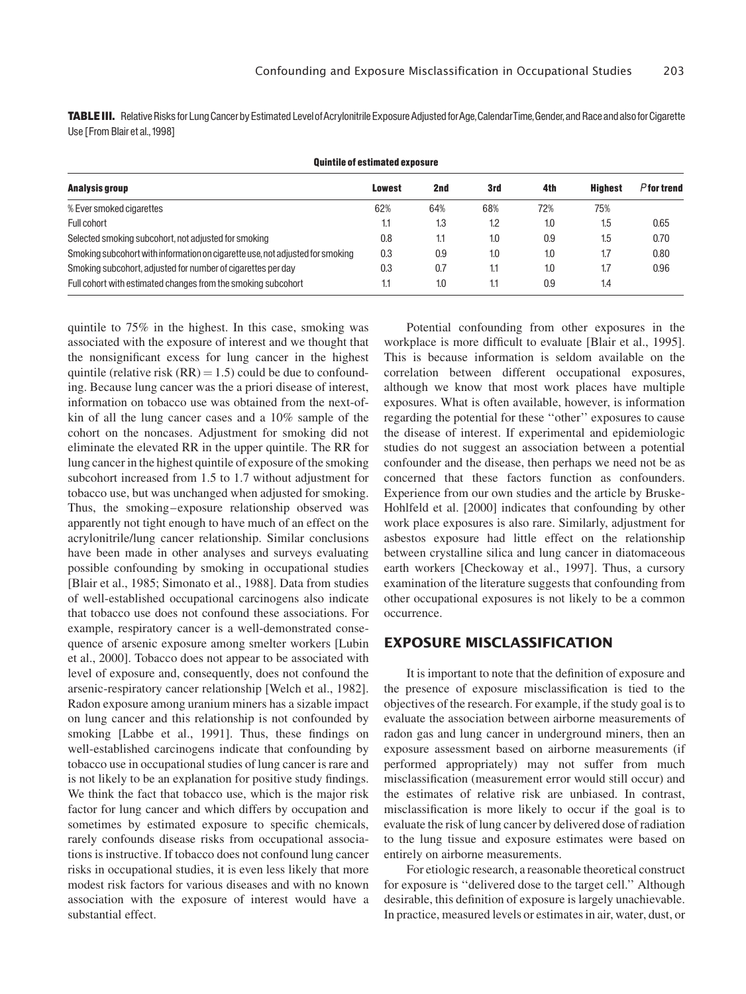TABLE III. Relative Risks for Lung Cancer by Estimated Level of Acrylonitrile Exposure Adjusted for Age, CalendarTime, Gender, and Race and also for Cigarette Use [From Blair et al.,1998]

Quintile of estimated exposure

| UUIIILIIC VI CSLIIIIALCU CXVUSUI C                                            |        |     |     |     |                |               |
|-------------------------------------------------------------------------------|--------|-----|-----|-----|----------------|---------------|
| Analysis group                                                                | Lowest | 2nd | 3rd | 4th | <b>Highest</b> | $P$ for trend |
| % Ever smoked cigarettes                                                      | 62%    | 64% | 68% | 72% | 75%            |               |
| Full cohort                                                                   | 1.1    | 1.3 | 1.2 | 1.0 | 1.5            | 0.65          |
| Selected smoking subcohort, not adjusted for smoking                          | 0.8    | 1.1 | 1.0 | 0.9 | 1.5            | 0.70          |
| Smoking subcohort with information on cigarette use, not adjusted for smoking | 0.3    | 0.9 | 1.0 | 1.0 | 1.7            | 0.80          |
| Smoking subcohort, adjusted for number of cigarettes per day                  | 0.3    | 0.7 | 1.1 | 1.0 | 1.7            | 0.96          |
| Full cohort with estimated changes from the smoking subcohort                 |        | 1.0 |     | 0.9 | 1.4            |               |

quintile to 75% in the highest. In this case, smoking was associated with the exposure of interest and we thought that the nonsignificant excess for lung cancer in the highest quintile (relative risk  $(RR) = 1.5$ ) could be due to confounding. Because lung cancer was the a priori disease of interest, information on tobacco use was obtained from the next-ofkin of all the lung cancer cases and a 10% sample of the cohort on the noncases. Adjustment for smoking did not eliminate the elevated RR in the upper quintile. The RR for lung cancer in the highest quintile of exposure of the smoking subcohort increased from 1.5 to 1.7 without adjustment for tobacco use, but was unchanged when adjusted for smoking. Thus, the smoking–exposure relationship observed was apparently not tight enough to have much of an effect on the acrylonitrile/lung cancer relationship. Similar conclusions have been made in other analyses and surveys evaluating possible confounding by smoking in occupational studies [Blair et al., 1985; Simonato et al., 1988]. Data from studies of well-established occupational carcinogens also indicate that tobacco use does not confound these associations. For example, respiratory cancer is a well-demonstrated consequence of arsenic exposure among smelter workers [Lubin et al., 2000]. Tobacco does not appear to be associated with level of exposure and, consequently, does not confound the arsenic-respiratory cancer relationship [Welch et al., 1982]. Radon exposure among uranium miners has a sizable impact on lung cancer and this relationship is not confounded by smoking [Labbe et al., 1991]. Thus, these findings on well-established carcinogens indicate that confounding by tobacco use in occupational studies of lung cancer is rare and is not likely to be an explanation for positive study findings. We think the fact that tobacco use, which is the major risk factor for lung cancer and which differs by occupation and sometimes by estimated exposure to specific chemicals, rarely confounds disease risks from occupational associations is instructive. If tobacco does not confound lung cancer risks in occupational studies, it is even less likely that more modest risk factors for various diseases and with no known association with the exposure of interest would have a substantial effect.

Potential confounding from other exposures in the workplace is more difficult to evaluate [Blair et al., 1995]. This is because information is seldom available on the correlation between different occupational exposures, although we know that most work places have multiple exposures. What is often available, however, is information regarding the potential for these ''other'' exposures to cause the disease of interest. If experimental and epidemiologic studies do not suggest an association between a potential confounder and the disease, then perhaps we need not be as concerned that these factors function as confounders. Experience from our own studies and the article by Bruske-Hohlfeld et al. [2000] indicates that confounding by other work place exposures is also rare. Similarly, adjustment for asbestos exposure had little effect on the relationship between crystalline silica and lung cancer in diatomaceous earth workers [Checkoway et al., 1997]. Thus, a cursory examination of the literature suggests that confounding from other occupational exposures is not likely to be a common occurrence.

## EXPOSURE MISCLASSIFICATION

It is important to note that the definition of exposure and the presence of exposure misclassification is tied to the objectives of the research. For example, if the study goal is to evaluate the association between airborne measurements of radon gas and lung cancer in underground miners, then an exposure assessment based on airborne measurements (if performed appropriately) may not suffer from much misclassification (measurement error would still occur) and the estimates of relative risk are unbiased. In contrast, misclassification is more likely to occur if the goal is to evaluate the risk of lung cancer by delivered dose of radiation to the lung tissue and exposure estimates were based on entirely on airborne measurements.

For etiologic research, a reasonable theoretical construct for exposure is ''delivered dose to the target cell.'' Although desirable, this definition of exposure is largely unachievable. In practice, measured levels or estimates in air, water, dust, or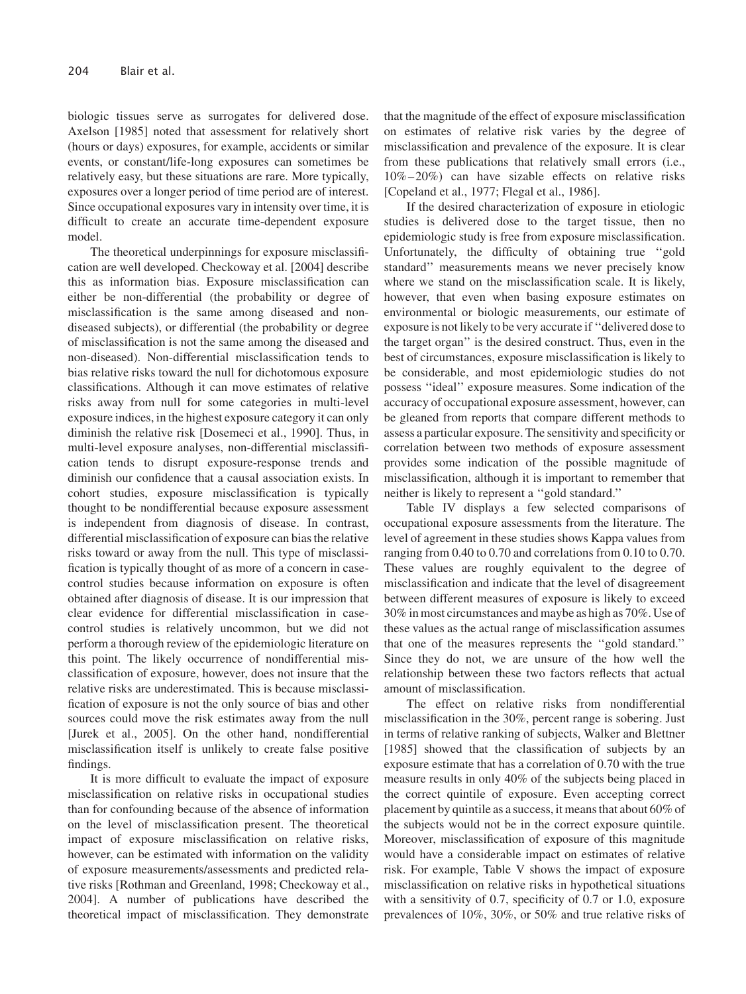biologic tissues serve as surrogates for delivered dose. Axelson [1985] noted that assessment for relatively short (hours or days) exposures, for example, accidents or similar events, or constant/life-long exposures can sometimes be relatively easy, but these situations are rare. More typically, exposures over a longer period of time period are of interest. Since occupational exposures vary in intensity over time, it is difficult to create an accurate time-dependent exposure model.

The theoretical underpinnings for exposure misclassification are well developed. Checkoway et al. [2004] describe this as information bias. Exposure misclassification can either be non-differential (the probability or degree of misclassification is the same among diseased and nondiseased subjects), or differential (the probability or degree of misclassification is not the same among the diseased and non-diseased). Non-differential misclassification tends to bias relative risks toward the null for dichotomous exposure classifications. Although it can move estimates of relative risks away from null for some categories in multi-level exposure indices, in the highest exposure category it can only diminish the relative risk [Dosemeci et al., 1990]. Thus, in multi-level exposure analyses, non-differential misclassification tends to disrupt exposure-response trends and diminish our confidence that a causal association exists. In cohort studies, exposure misclassification is typically thought to be nondifferential because exposure assessment is independent from diagnosis of disease. In contrast, differential misclassification of exposure can bias the relative risks toward or away from the null. This type of misclassification is typically thought of as more of a concern in casecontrol studies because information on exposure is often obtained after diagnosis of disease. It is our impression that clear evidence for differential misclassification in casecontrol studies is relatively uncommon, but we did not perform a thorough review of the epidemiologic literature on this point. The likely occurrence of nondifferential misclassification of exposure, however, does not insure that the relative risks are underestimated. This is because misclassification of exposure is not the only source of bias and other sources could move the risk estimates away from the null [Jurek et al., 2005]. On the other hand, nondifferential misclassification itself is unlikely to create false positive findings.

It is more difficult to evaluate the impact of exposure misclassification on relative risks in occupational studies than for confounding because of the absence of information on the level of misclassification present. The theoretical impact of exposure misclassification on relative risks, however, can be estimated with information on the validity of exposure measurements/assessments and predicted relative risks [Rothman and Greenland, 1998; Checkoway et al., 2004]. A number of publications have described the theoretical impact of misclassification. They demonstrate

that the magnitude of the effect of exposure misclassification on estimates of relative risk varies by the degree of misclassification and prevalence of the exposure. It is clear from these publications that relatively small errors (i.e., 10%–20%) can have sizable effects on relative risks [Copeland et al., 1977; Flegal et al., 1986].

If the desired characterization of exposure in etiologic studies is delivered dose to the target tissue, then no epidemiologic study is free from exposure misclassification. Unfortunately, the difficulty of obtaining true ''gold standard'' measurements means we never precisely know where we stand on the misclassification scale. It is likely, however, that even when basing exposure estimates on environmental or biologic measurements, our estimate of exposure is not likely to be very accurate if ''delivered dose to the target organ'' is the desired construct. Thus, even in the best of circumstances, exposure misclassification is likely to be considerable, and most epidemiologic studies do not possess ''ideal'' exposure measures. Some indication of the accuracy of occupational exposure assessment, however, can be gleaned from reports that compare different methods to assess a particular exposure. The sensitivity and specificity or correlation between two methods of exposure assessment provides some indication of the possible magnitude of misclassification, although it is important to remember that neither is likely to represent a ''gold standard.''

Table IV displays a few selected comparisons of occupational exposure assessments from the literature. The level of agreement in these studies shows Kappa values from ranging from 0.40 to 0.70 and correlations from 0.10 to 0.70. These values are roughly equivalent to the degree of misclassification and indicate that the level of disagreement between different measures of exposure is likely to exceed 30% in most circumstances and maybe as high as 70%. Use of these values as the actual range of misclassification assumes that one of the measures represents the ''gold standard.'' Since they do not, we are unsure of the how well the relationship between these two factors reflects that actual amount of misclassification.

The effect on relative risks from nondifferential misclassification in the 30%, percent range is sobering. Just in terms of relative ranking of subjects, Walker and Blettner [1985] showed that the classification of subjects by an exposure estimate that has a correlation of 0.70 with the true measure results in only 40% of the subjects being placed in the correct quintile of exposure. Even accepting correct placement by quintile as a success, it means that about 60% of the subjects would not be in the correct exposure quintile. Moreover, misclassification of exposure of this magnitude would have a considerable impact on estimates of relative risk. For example, Table V shows the impact of exposure misclassification on relative risks in hypothetical situations with a sensitivity of 0.7, specificity of 0.7 or 1.0, exposure prevalences of 10%, 30%, or 50% and true relative risks of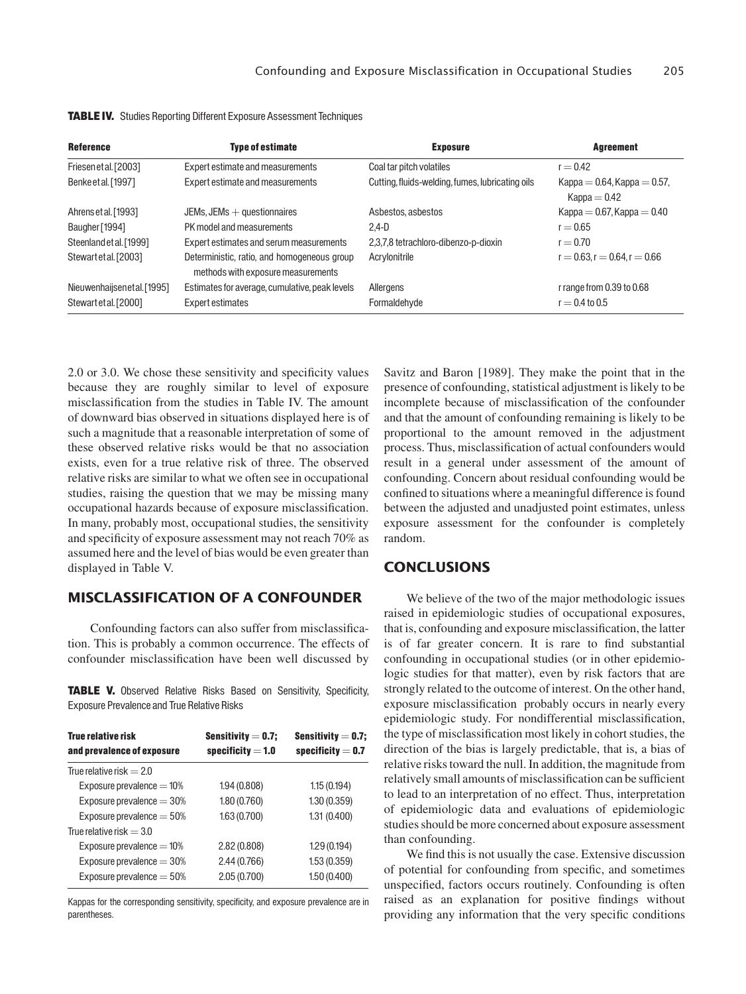| <b>Reference</b>          | <b>Type of estimate</b>                                                           | <b>Exposure</b>                                  | <b>Agreement</b>                                 |
|---------------------------|-----------------------------------------------------------------------------------|--------------------------------------------------|--------------------------------------------------|
| Friesenetal. [2003]       | Expert estimate and measurements                                                  | Coal tar pitch volatiles                         | $r = 0.42$                                       |
| Benke et al. [1997]       | Expert estimate and measurements                                                  | Cutting, fluids-welding, fumes, lubricating oils | Kappa = $0.64$ , Kappa = 0.57,<br>Kappa $= 0.42$ |
| Ahrens et al. [1993]      | JEMs, JEMs $+$ questionnaires                                                     | Asbestos, asbestos                               | Kappa = $0.67$ , Kappa = $0.40$                  |
| Baugher [1994]            | PK model and measurements                                                         | $2.4-D$                                          | $r = 0.65$                                       |
| Steenland et al. [1999]   | Expert estimates and serum measurements                                           | 2,3,7,8 tetrachloro-dibenzo-p-dioxin             | $r = 0.70$                                       |
| Stewart et al. [2003]     | Deterministic, ratio, and homogeneous group<br>methods with exposure measurements | Acrylonitrile                                    | $r = 0.63$ . $r = 0.64$ . $r = 0.66$             |
| Nieuwenhaijsenetal.[1995] | Estimates for average, cumulative, peak levels                                    | Allergens                                        | r range from 0.39 to 0.68                        |
| Stewart et al. [2000]     | Expert estimates                                                                  | Formaldehyde                                     | $r = 0.4$ to 0.5                                 |

TABLE IV. Studies Reporting Different Exposure Assessment Techniques

2.0 or 3.0. We chose these sensitivity and specificity values because they are roughly similar to level of exposure misclassification from the studies in Table IV. The amount of downward bias observed in situations displayed here is of such a magnitude that a reasonable interpretation of some of these observed relative risks would be that no association exists, even for a true relative risk of three. The observed relative risks are similar to what we often see in occupational studies, raising the question that we may be missing many occupational hazards because of exposure misclassification. In many, probably most, occupational studies, the sensitivity and specificity of exposure assessment may not reach 70% as assumed here and the level of bias would be even greater than displayed in Table V.

## MISCLASSIFICATION OF A CONFOUNDER

Confounding factors can also suffer from misclassification. This is probably a common occurrence. The effects of confounder misclassification have been well discussed by

TABLE V. Observed Relative Risks Based on Sensitivity, Specificity, Exposure Prevalence and True Relative Risks

| <b>True relative risk</b>   | Sensitivity $= 0.7$ ; | Sensitivity $= 0.7$ ; |  |  |
|-----------------------------|-----------------------|-----------------------|--|--|
| and prevalence of exposure  | specificity $=$ 1.0   | specificity $= 0.7$   |  |  |
| True relative risk $= 2.0$  |                       |                       |  |  |
| Exposure prevalence $=$ 10% | 1.94(0.808)           | 1.15(0.194)           |  |  |
| Exposure prevalence $=$ 30% | 1.80(0.760)           | 1.30(0.359)           |  |  |
| Exposure prevalence $=50\%$ | 1.63(0.700)           | 1.31(0.400)           |  |  |
| True relative risk $=3.0$   |                       |                       |  |  |
| Exposure prevalence $=$ 10% | 2.82(0.808)           | 1.29(0.194)           |  |  |
| Exposure prevalence $=$ 30% | 2.44 (0.766)          | 1.53(0.359)           |  |  |
| Exposure prevalence $=$ 50% | 2.05(0.700)           | 1.50(0.400)           |  |  |

Kappas for the corresponding sensitivity, specificity, and exposure prevalence are in parentheses.

Savitz and Baron [1989]. They make the point that in the presence of confounding, statistical adjustment is likely to be incomplete because of misclassification of the confounder and that the amount of confounding remaining is likely to be proportional to the amount removed in the adjustment process. Thus, misclassification of actual confounders would result in a general under assessment of the amount of confounding. Concern about residual confounding would be confined to situations where a meaningful difference is found between the adjusted and unadjusted point estimates, unless exposure assessment for the confounder is completely random.

#### **CONCLUSIONS**

We believe of the two of the major methodologic issues raised in epidemiologic studies of occupational exposures, that is, confounding and exposure misclassification, the latter is of far greater concern. It is rare to find substantial confounding in occupational studies (or in other epidemiologic studies for that matter), even by risk factors that are strongly related to the outcome of interest. On the other hand, exposure misclassification probably occurs in nearly every epidemiologic study. For nondifferential misclassification, the type of misclassification most likely in cohort studies, the direction of the bias is largely predictable, that is, a bias of relative risks toward the null. In addition, the magnitude from relatively small amounts of misclassification can be sufficient to lead to an interpretation of no effect. Thus, interpretation of epidemiologic data and evaluations of epidemiologic studies should be more concerned about exposure assessment than confounding.

We find this is not usually the case. Extensive discussion of potential for confounding from specific, and sometimes unspecified, factors occurs routinely. Confounding is often raised as an explanation for positive findings without providing any information that the very specific conditions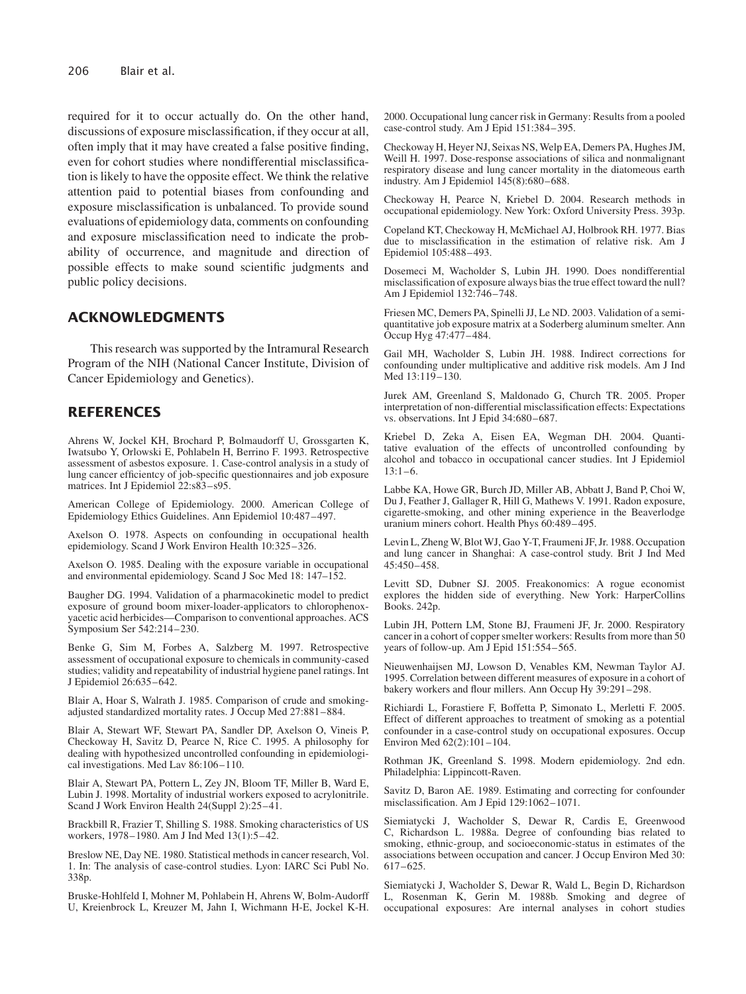required for it to occur actually do. On the other hand, discussions of exposure misclassification, if they occur at all, often imply that it may have created a false positive finding, even for cohort studies where nondifferential misclassification is likely to have the opposite effect. We think the relative attention paid to potential biases from confounding and exposure misclassification is unbalanced. To provide sound evaluations of epidemiology data, comments on confounding and exposure misclassification need to indicate the probability of occurrence, and magnitude and direction of possible effects to make sound scientific judgments and public policy decisions.

#### ACKNOWLEDGMENTS

This research was supported by the Intramural Research Program of the NIH (National Cancer Institute, Division of Cancer Epidemiology and Genetics).

## **REFERENCES**

Ahrens W, Jockel KH, Brochard P, Bolmaudorff U, Grossgarten K, Iwatsubo Y, Orlowski E, Pohlabeln H, Berrino F. 1993. Retrospective assessment of asbestos exposure. 1. Case-control analysis in a study of lung cancer efficientcy of job-specific questionnaires and job exposure matrices. Int J Epidemiol 22:s83–s95.

American College of Epidemiology. 2000. American College of Epidemiology Ethics Guidelines. Ann Epidemiol 10:487–497.

Axelson O. 1978. Aspects on confounding in occupational health epidemiology. Scand J Work Environ Health 10:325–326.

Axelson O. 1985. Dealing with the exposure variable in occupational and environmental epidemiology. Scand J Soc Med 18: 147–152.

Baugher DG. 1994. Validation of a pharmacokinetic model to predict exposure of ground boom mixer-loader-applicators to chlorophenoxyacetic acid herbicides—Comparison to conventional approaches. ACS Symposium Ser 542:214–230.

Benke G, Sim M, Forbes A, Salzberg M. 1997. Retrospective assessment of occupational exposure to chemicals in community-cased studies; validity and repeatability of industrial hygiene panel ratings. Int J Epidemiol 26:635–642.

Blair A, Hoar S, Walrath J. 1985. Comparison of crude and smokingadjusted standardized mortality rates. J Occup Med 27:881–884.

Blair A, Stewart WF, Stewart PA, Sandler DP, Axelson O, Vineis P, Checkoway H, Savitz D, Pearce N, Rice C. 1995. A philosophy for dealing with hypothesized uncontrolled confounding in epidemiological investigations. Med Lav 86:106–110.

Blair A, Stewart PA, Pottern L, Zey JN, Bloom TF, Miller B, Ward E, Lubin J. 1998. Mortality of industrial workers exposed to acrylonitrile. Scand J Work Environ Health 24(Suppl 2):25–41.

Brackbill R, Frazier T, Shilling S. 1988. Smoking characteristics of US workers, 1978–1980. Am J Ind Med 13(1):5–42.

Breslow NE, Day NE. 1980. Statistical methods in cancer research, Vol. 1. In: The analysis of case-control studies. Lyon: IARC Sci Publ No. 338p.

Bruske-Hohlfeld I, Mohner M, Pohlabein H, Ahrens W, Bolm-Audorff U, Kreienbrock L, Kreuzer M, Jahn I, Wichmann H-E, Jockel K-H.

2000. Occupational lung cancer risk in Germany: Results from a pooled case-control study. Am J Epid 151:384–395.

Checkoway H, Heyer NJ, Seixas NS, Welp EA, Demers PA, Hughes JM, Weill H. 1997. Dose-response associations of silica and nonmalignant respiratory disease and lung cancer mortality in the diatomeous earth industry. Am J Epidemiol 145(8):680–688.

Checkoway H, Pearce N, Kriebel D. 2004. Research methods in occupational epidemiology. New York: Oxford University Press. 393p.

Copeland KT, Checkoway H, McMichael AJ, Holbrook RH. 1977. Bias due to misclassification in the estimation of relative risk. Am J Epidemiol 105:488–493.

Dosemeci M, Wacholder S, Lubin JH. 1990. Does nondifferential misclassification of exposure always bias the true effect toward the null? Am J Epidemiol 132:746–748.

Friesen MC, Demers PA, Spinelli JJ, Le ND. 2003. Validation of a semiquantitative job exposure matrix at a Soderberg aluminum smelter. Ann Occup Hyg 47:477–484.

Gail MH, Wacholder S, Lubin JH. 1988. Indirect corrections for confounding under multiplicative and additive risk models. Am J Ind Med 13:119–130.

Jurek AM, Greenland S, Maldonado G, Church TR. 2005. Proper interpretation of non-differential misclassification effects: Expectations vs. observations. Int J Epid 34:680–687.

Kriebel D, Zeka A, Eisen EA, Wegman DH. 2004. Quantitative evaluation of the effects of uncontrolled confounding by alcohol and tobacco in occupational cancer studies. Int J Epidemiol  $13:1-6$ .

Labbe KA, Howe GR, Burch JD, Miller AB, Abbatt J, Band P, Choi W, Du J, Feather J, Gallager R, Hill G, Mathews V. 1991. Radon exposure, cigarette-smoking, and other mining experience in the Beaverlodge uranium miners cohort. Health Phys 60:489–495.

Levin L, Zheng W, Blot WJ, Gao Y-T, Fraumeni JF, Jr. 1988. Occupation and lung cancer in Shanghai: A case-control study. Brit J Ind Med 45:450–458.

Levitt SD, Dubner SJ. 2005. Freakonomics: A rogue economist explores the hidden side of everything. New York: HarperCollins Books. 242p.

Lubin JH, Pottern LM, Stone BJ, Fraumeni JF, Jr. 2000. Respiratory cancer in a cohort of copper smelter workers: Results from more than 50 years of follow-up. Am J Epid 151:554–565.

Nieuwenhaijsen MJ, Lowson D, Venables KM, Newman Taylor AJ. 1995. Correlation between different measures of exposure in a cohort of bakery workers and flour millers. Ann Occup Hy 39:291–298.

Richiardi L, Forastiere F, Boffetta P, Simonato L, Merletti F. 2005. Effect of different approaches to treatment of smoking as a potential confounder in a case-control study on occupational exposures. Occup Environ Med 62(2):101–104.

Rothman JK, Greenland S. 1998. Modern epidemiology. 2nd edn. Philadelphia: Lippincott-Raven.

Savitz D, Baron AE. 1989. Estimating and correcting for confounder misclassification. Am J Epid 129:1062–1071.

Siemiatycki J, Wacholder S, Dewar R, Cardis E, Greenwood C, Richardson L. 1988a. Degree of confounding bias related to smoking, ethnic-group, and socioeconomic-status in estimates of the associations between occupation and cancer. J Occup Environ Med 30: 617–625.

Siemiatycki J, Wacholder S, Dewar R, Wald L, Begin D, Richardson L, Rosenman K, Gerin M. 1988b. Smoking and degree of occupational exposures: Are internal analyses in cohort studies